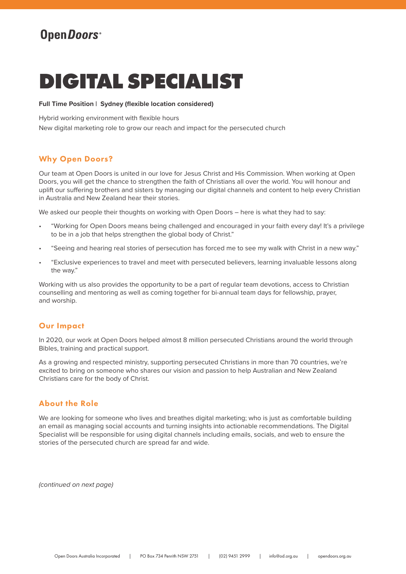# OpenDoors<sup>®</sup>

# **DIGITAL SPECIALIST**

#### **Full Time Position | Sydney (flexible location considered)**

Hybrid working environment with flexible hours

New digital marketing role to grow our reach and impact for the persecuted church

# Why Open Doors?

Our team at Open Doors is united in our love for Jesus Christ and His Commission. When working at Open Doors, you will get the chance to strengthen the faith of Christians all over the world. You will honour and uplift our suffering brothers and sisters by managing our digital channels and content to help every Christian in Australia and New Zealand hear their stories.

We asked our people their thoughts on working with Open Doors – here is what they had to say:

- "Working for Open Doors means being challenged and encouraged in your faith every day! It's a privilege to be in a job that helps strengthen the global body of Christ."
- "Seeing and hearing real stories of persecution has forced me to see my walk with Christ in a new way."
- "Exclusive experiences to travel and meet with persecuted believers, learning invaluable lessons along the way."

Working with us also provides the opportunity to be a part of regular team devotions, access to Christian counselling and mentoring as well as coming together for bi-annual team days for fellowship, prayer, and worship.

### Our Impact

In 2020, our work at Open Doors helped almost 8 million persecuted Christians around the world through Bibles, training and practical support.

As a growing and respected ministry, supporting persecuted Christians in more than 70 countries, we're excited to bring on someone who shares our vision and passion to help Australian and New Zealand Christians care for the body of Christ.

# About the Role

We are looking for someone who lives and breathes digital marketing; who is just as comfortable building an email as managing social accounts and turning insights into actionable recommendations. The Digital Specialist will be responsible for using digital channels including emails, socials, and web to ensure the stories of the persecuted church are spread far and wide.

*(continued on next page)*